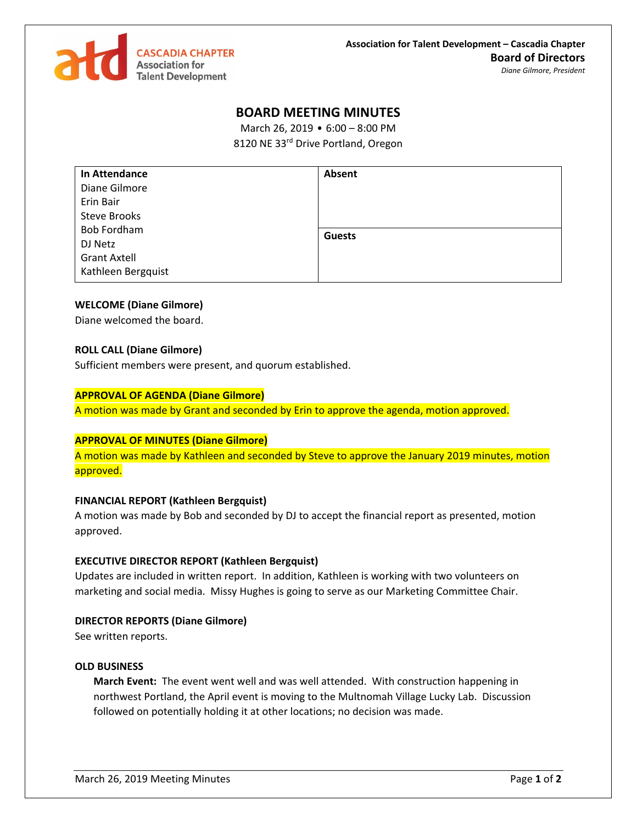

# **BOARD MEETING MINUTES**

March 26, 2019 • 6:00 – 8:00 PM 8120 NE 33rd Drive Portland, Oregon

| <b>In Attendance</b> | Absent        |
|----------------------|---------------|
| Diane Gilmore        |               |
| Erin Bair            |               |
| <b>Steve Brooks</b>  |               |
| <b>Bob Fordham</b>   | <b>Guests</b> |
| DJ Netz              |               |
| <b>Grant Axtell</b>  |               |
| Kathleen Bergquist   |               |

# **WELCOME (Diane Gilmore)**

Diane welcomed the board.

## **ROLL CALL (Diane Gilmore)**

Sufficient members were present, and quorum established.

## **APPROVAL OF AGENDA (Diane Gilmore)**

A motion was made by Grant and seconded by Erin to approve the agenda, motion approved.

# **APPROVAL OF MINUTES (Diane Gilmore)**

A motion was made by Kathleen and seconded by Steve to approve the January 2019 minutes, motion approved.

## **FINANCIAL REPORT (Kathleen Bergquist)**

A motion was made by Bob and seconded by DJ to accept the financial report as presented, motion approved.

#### **EXECUTIVE DIRECTOR REPORT (Kathleen Bergquist)**

Updates are included in written report. In addition, Kathleen is working with two volunteers on marketing and social media. Missy Hughes is going to serve as our Marketing Committee Chair.

#### **DIRECTOR REPORTS (Diane Gilmore)**

See written reports.

#### **OLD BUSINESS**

**March Event:** The event went well and was well attended. With construction happening in northwest Portland, the April event is moving to the Multnomah Village Lucky Lab. Discussion followed on potentially holding it at other locations; no decision was made.